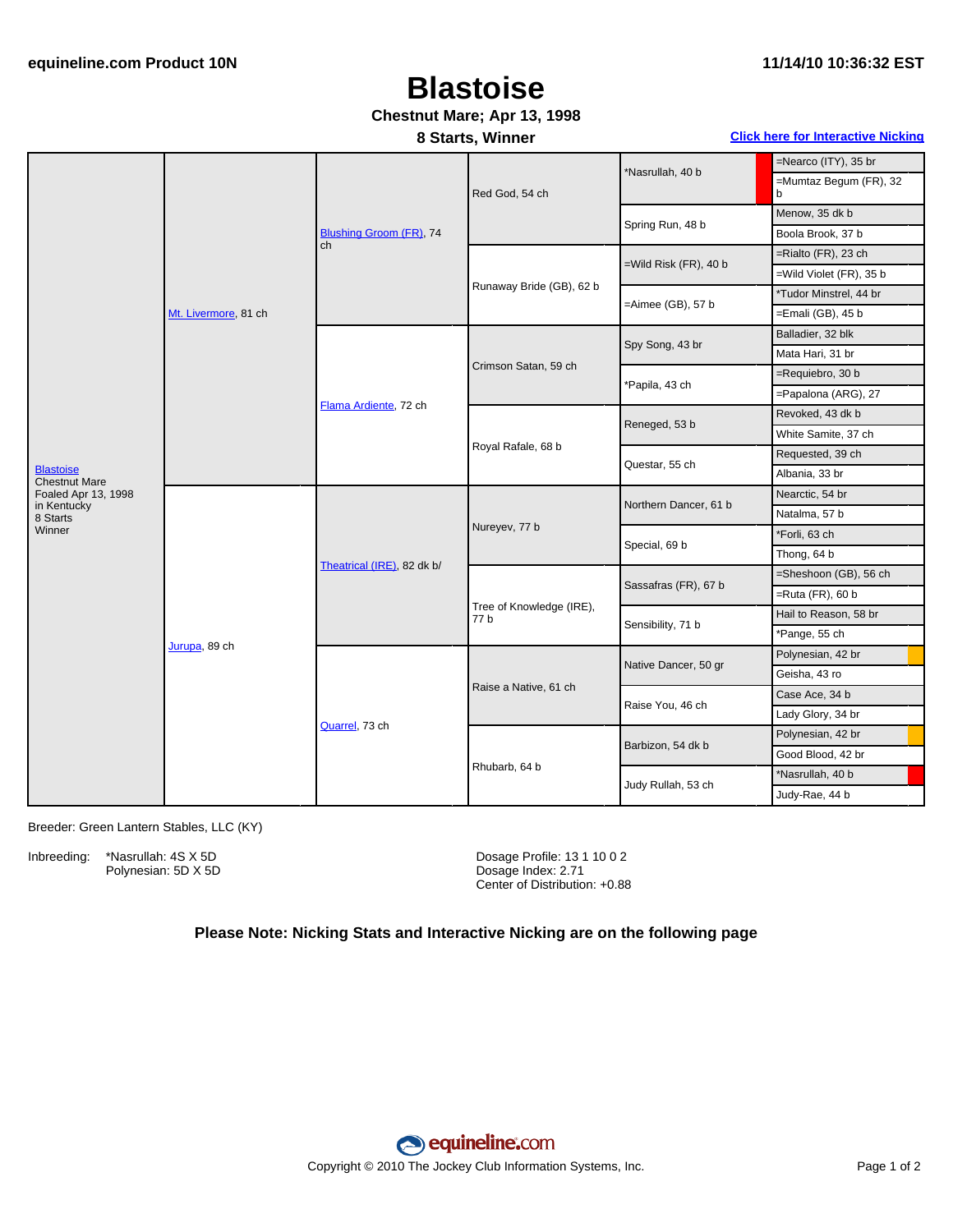# **Blastoise**

### **Chestnut Mare; Apr 13, 1998**

| 8 Starts, Winner | <b>Click here for Interactive Nicking</b> |
|------------------|-------------------------------------------|
|------------------|-------------------------------------------|

|                                          | Mt. Livermore, 81 ch | Blushing Groom (FR), 74<br>ch | Red God, 54 ch                   | *Nasrullah, 40 b      | =Nearco (ITY), 35 br        |
|------------------------------------------|----------------------|-------------------------------|----------------------------------|-----------------------|-----------------------------|
|                                          |                      |                               |                                  |                       | =Mumtaz Begum (FR), 32<br>b |
|                                          |                      |                               |                                  | Spring Run, 48 b      | Menow, 35 dk b              |
|                                          |                      |                               |                                  |                       | Boola Brook, 37 b           |
|                                          |                      |                               | Runaway Bride (GB), 62 b         | =Wild Risk (FR), 40 b | $=$ Rialto (FR), 23 ch      |
|                                          |                      |                               |                                  |                       | =Wild Violet (FR), 35 b     |
|                                          |                      |                               |                                  | =Aimee (GB), 57 b     | *Tudor Minstrel, 44 br      |
|                                          |                      |                               |                                  |                       | $=$ Emali (GB), 45 b        |
|                                          |                      | Flama Ardiente, 72 ch         |                                  |                       | Balladier, 32 blk           |
|                                          |                      |                               |                                  | Spy Song, 43 br       | Mata Hari, 31 br            |
|                                          |                      |                               | Crimson Satan, 59 ch             | 'Papila, 43 ch        | =Requiebro, 30 b            |
|                                          |                      |                               |                                  |                       | =Papalona (ARG), 27         |
|                                          |                      |                               |                                  | Reneged, 53 b         | Revoked, 43 dk b            |
|                                          |                      |                               |                                  |                       | White Samite, 37 ch         |
|                                          |                      |                               | Royal Rafale, 68 b               | Questar, 55 ch        | Requested, 39 ch            |
| <b>Blastoise</b><br><b>Chestnut Mare</b> |                      |                               |                                  |                       | Albania, 33 br              |
| Foaled Apr 13, 1998<br>in Kentucky       | Jurupa, 89 ch        |                               | Nureyev, 77 b                    | Northern Dancer, 61 b | Nearctic, 54 br             |
| 8 Starts                                 |                      | Theatrical (IRE), 82 dk b/    |                                  |                       | Natalma, 57 b               |
| Winner                                   |                      |                               |                                  | Special, 69 b         | *Forli, 63 ch               |
|                                          |                      |                               |                                  |                       | Thong, 64 b                 |
|                                          |                      |                               |                                  | Sassafras (FR), 67 b  | =Sheshoon (GB), 56 ch       |
|                                          |                      |                               |                                  |                       | $=$ Ruta (FR), 60 b         |
|                                          |                      |                               | Tree of Knowledge (IRE),<br>77 b | Sensibility, 71 b     | Hail to Reason, 58 br       |
|                                          |                      |                               |                                  |                       | *Pange, 55 ch               |
|                                          |                      | Quarrel, 73 ch                | Raise a Native, 61 ch            | Native Dancer, 50 gr  | Polynesian, 42 br           |
|                                          |                      |                               |                                  |                       | Geisha, 43 ro               |
|                                          |                      |                               |                                  | Raise You, 46 ch      | Case Ace, 34 b              |
|                                          |                      |                               |                                  |                       | Lady Glory, 34 br           |
|                                          |                      |                               | Rhubarb, 64 b                    | Barbizon, 54 dk b     | Polynesian, 42 br           |
|                                          |                      |                               |                                  |                       | Good Blood, 42 br           |
|                                          |                      |                               |                                  | Judy Rullah, 53 ch    | *Nasrullah, 40 b            |
|                                          |                      |                               |                                  |                       | Judy-Rae, 44 b              |

Breeder: Green Lantern Stables, LLC (KY)

Inbreeding: \*Nasrullah: 4S X 5D Polynesian: 5D X 5D

Dosage Profile: 13 1 10 0 2 Dosage Index: 2.71 Center of Distribution: +0.88

#### **Please Note: Nicking Stats and Interactive Nicking are on the following page**